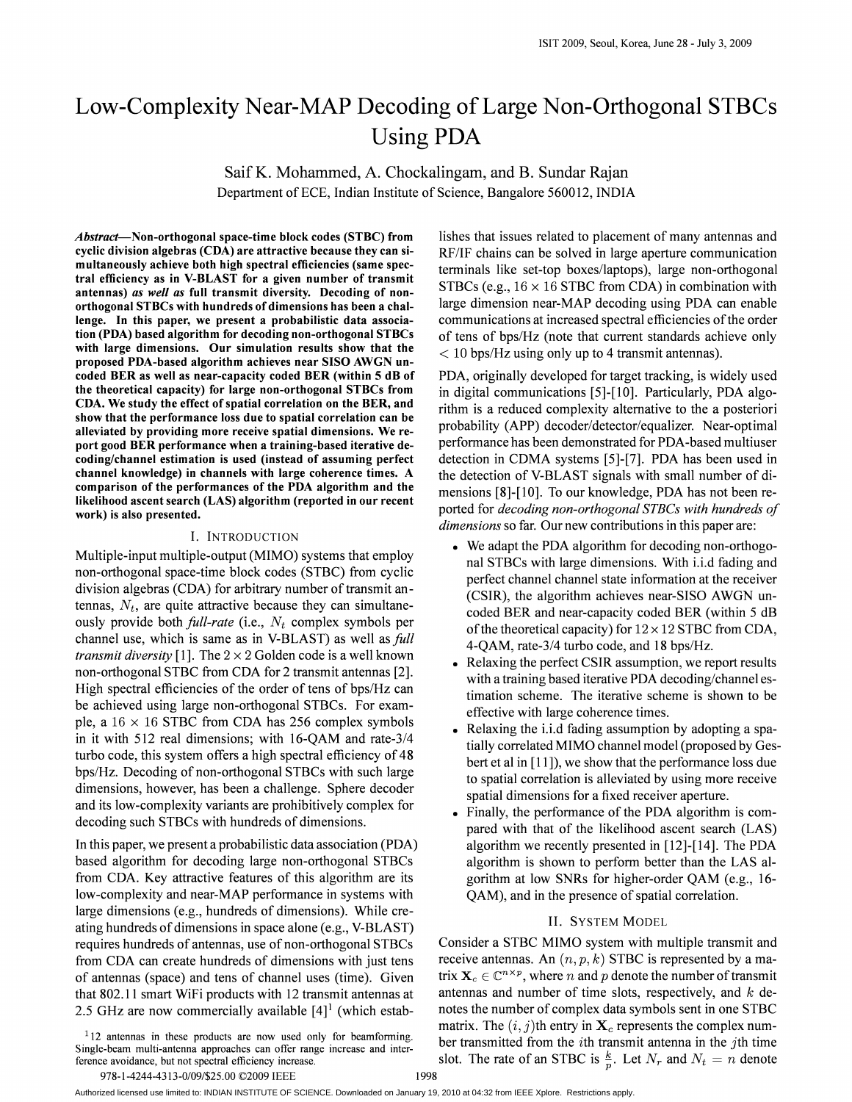# Low-Complexity Near-MAP Decoding of Large Non-Orthogonal STBCs Using PDA

SaifK. Mohammed, A. Chockalingam, and B. Sundar Rajan Department of ECE, Indian Institute of Science, Bangalore 560012, INDIA

*Abstract-Non-orthogonal* space-time block codes (STBC) from cyclic division algebras (CDA) are attractive because they can simultaneously achieve both high spectral efficiencies (same spectral efficiency as in V-BLAST for a given number of transmit antennas) *as well as* full transmit diversity. Decoding of nonorthogonal STBCs with hundreds of dimensions has been a challenge. In this paper, we present a probabilistic data association (PDA) based algorithm for decoding non-orthogonal STBCs with large dimensions. Our simulation results show that the proposed PDA-based algorithm achieves near SISO AWGN uncoded BER as well as near-capacity coded BER (within 5 dB of the theoretical capacity) for large non-orthogonal STBCs from CDA. We study the effect of spatial correlation on the BER, and show that the performance loss due to spatial correlation can be alleviated by providing more receive spatial dimensions. We report good BER performance when a training-based iterative decoding/channel estimation is used (instead of assuming perfect channel knowledge) in channels with large coherence times. A comparison of the performances of the PDA algorithm and the likelihood ascent search (LAS) algorithm (reported in our recent work) is also presented.

## I. INTRODUCTION

Multiple-input multiple-output (MIMO) systems that employ non-orthogonal space-time block codes (STBC) from cyclic division algebras (CDA) for arbitrary number of transmit antennas,  $N_t$ , are quite attractive because they can simultaneously provide both *full-rate* (i.e., *N,* complex symbols per channel use, which is same as in V-BLAST) as well as *full transmit diversity* [1]. The  $2 \times 2$  Golden code is a well known non-orthogonal STBC from CDA for 2 transmit antennas [2]. High spectral efficiencies of the order of tens of bps/Hz can be achieved using large non-orthogonal STBCs. For example, a  $16 \times 16$  STBC from CDA has 256 complex symbols in it with 512 real dimensions; with 16-QAM and rate-3/4 turbo code, this system offers a high spectral efficiency of 48 bps/Hz. Decoding of non-orthogonal STBCs with such large dimensions, however, has been a challenge. Sphere decoder and its low-complexity variants are prohibitively complex for decoding such STBCs with hundreds of dimensions.

In this paper, we present a probabilistic data association (PDA) based algorithm for decoding large non-orthogonal STBCs from CDA. Key attractive features of this algorithm are its low-complexity and near-MAP performance in systems with large dimensions (e.g., hundreds of dimensions). While creating hundreds of dimensions in space alone (e.g., V-BLAST) requires hundreds of antennas, use of non-orthogonal STBCs from CDA can create hundreds of dimensions with just tens of antennas (space) and tens of channel uses (time). Given that 802.11 smart WiFi products with 12 transmit antennas at 2.5 GHz are now commercially available  $[4]$ <sup>1</sup> (which estab-

 $112$  antennas in these products are now used only for beamforming. Single-beam multi-antenna approaches can offer range increase and interference avoidance, but not spectral efficiency increase.

lishes that issues related to placement of many antennas and RF/IF chains can be solved in large aperture communication terminals like set-top boxes/laptops), large non-orthogonal STBCs (e.g.,  $16 \times 16$  STBC from CDA) in combination with large dimension near-MAP decoding using PDA can enable communications at increased spectral efficiencies of the order of tens of bps/Hz (note that current standards achieve only < 10 bps/Hz using only up to 4 transmit antennas).

PDA, originally developed for target tracking, is widely used in digital communications [5]-[10]. Particularly, PDA algorithm is a reduced complexity alternative to the a posteriori probability (APP) decoder/detector/equalizer. Near-optimal performance has been demonstrated for PDA-based multiuser detection in CDMA systems [5]-[7]. PDA has been used in the detection of V-BLAST signals with small number of dimensions [8]-[10]. To our knowledge, PDA has not been reported for *decoding non-orthogonal STBes with hundreds of dimensions* so far. Our new contributions in this paper are:

- We adapt the PDA algorithm for decoding non-orthogonal STBCs with large dimensions. With i.i.d fading and perfect channel channel state information at the receiver (CSIR), the algorithm achieves near-SISO AWGN uncoded BER and near-capacity coded BER (within 5 dB of the theoretical capacity) for  $12 \times 12$  STBC from CDA, 4-QAM, rate-3/4 turbo code, and 18 bps/Hz.
- Relaxing the perfect CSIR assumption, we report results with a training based iterative PDA decoding/channel estimation scheme. The iterative scheme is shown to be effective with large coherence times.
- Relaxing the i.i.d fading assumption by adopting a spatially correlated MIMO channel model (proposed by Gesbert et al in [11]), we show that the performance loss due to spatial correlation is alleviated by using more receive spatial dimensions for a fixed receiver aperture.
- Finally, the performance of the PDA algorithm is compared with that of the likelihood ascent search (LAS) algorithm we recently presented in [12]-[14]. The PDA algorithm is shown to perform better than the LAS algorithm at low SNRs for higher-order QAM (e.g., 16- QAM), and in the presence of spatial correlation.

#### II. SYSTEM MODEL

Consider a STBC MIMO system with multiple transmit and receive antennas. An  $(n, p, k)$  STBC is represented by a matrix  $X_c \in \mathbb{C}^{n \times p}$ , where *n* and *p* denote the number of transmit antennas and number of time slots, respectively, and  $k$  denotes the number of complex data symbols sent in one STBC matrix. The  $(i, j)$ th entry in  $\mathbf{X}_c$  represents the complex number transmitted from the *i*th transmit antenna in the *j*th time slot. The rate of an STBC is  $\frac{k}{p}$ . Let  $N_r$  and  $N_t = n$  denote

Authorized licensed use limited to: INDIAN INSTITUTE OF SCIENCE. Downloaded on January 19, 2010 at 04:32 from IEEE Xplore. Restrictions apply.

<sup>978-1-4244-4313-0/09/\$25.00</sup> ©2009 IEEE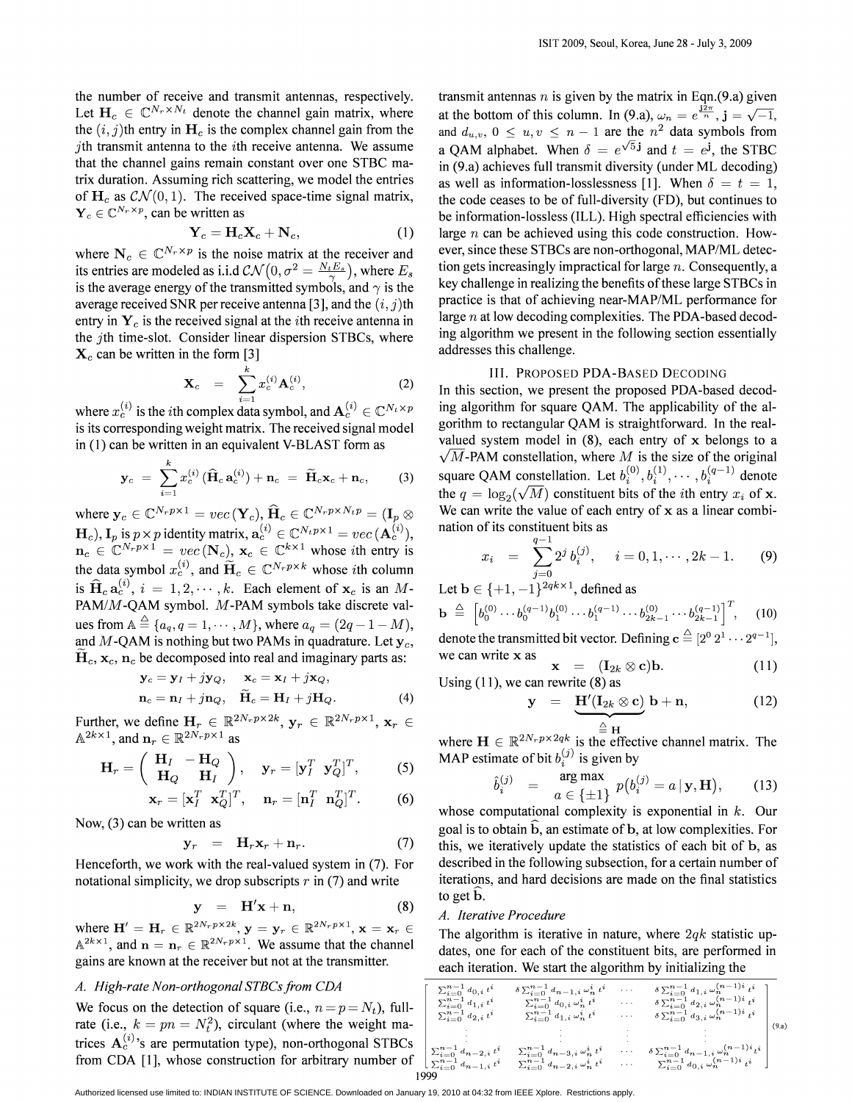the number of receive and transmit antennas, respectively. Let  $H_c \in \mathbb{C}^{N_r \times N_t}$  denote the channel gain matrix, where the  $(i, j)$ th entry in  $H_c$  is the complex channel gain from the jth transmit antenna to the  $i$ th receive antenna. We assume that the channel gains remain constant over one STBC matrix duration. Assuming rich scattering, we model the entries of  $H_c$  as  $\mathcal{CN}(0,1)$ . The received space-time signal matrix,  $Y_c \in \mathbb{C}^{N_r \times p}$ , can be written as

$$
\mathbf{Y}_c = \mathbf{H}_c \mathbf{X}_c + \mathbf{N}_c, \tag{1}
$$

where  $N_c \in \mathbb{C}^{N_r \times p}$  is the noise matrix at the receiver and its entries are modeled as i.i.d  $\mathcal{CN}(0, \sigma^2 = \frac{N_t E_s}{g} )$ , where  $E_s$ is the average energy of the transmitted symbols, and  $\gamma$  is the average received SNR per receive antenna [3], and the  $(i, j)$ th entry in  $Y_c$  is the received signal at the *i*th receive antenna in the jth time-slot. Consider linear dispersion STBCs, where  $\mathbf{X}_c$  can be written in the form [3]

$$
\mathbf{X}_c = \sum_{i=1}^k x_c^{(i)} \mathbf{A}_c^{(i)}, \qquad (2)
$$

where  $x_c^{(i)}$  is the *i*th complex data symbol, and  $A_c^{(i)} \in \mathbb{C}^{N_t \times p}$ is its corresponding weight matrix. The received signal model in (1) can be written in an equivalent V-BLAST form as

$$
\mathbf{y}_c = \sum_{i=1}^k x_c^{(i)} (\widehat{\mathbf{H}}_c \, \mathbf{a}_c^{(i)}) + \mathbf{n}_c = \widetilde{\mathbf{H}}_c \mathbf{x}_c + \mathbf{n}_c, \qquad (3)
$$

where  $y_c \in \mathbb{C}^{N_r p \times 1} = vec(\mathbf{Y}_c), \hat{\mathbf{H}}_c \in \mathbb{C}^{N_r p \times N_t p} = (\mathbf{I}_p \otimes \mathbf{I}_c)$  $(\mathbf{H}_c)$ ,  $\mathbf{I}_p$  is  $p \times p$  identity matrix,  $\mathbf{a}_c^{(i)} \in \mathbb{C}^{N_t p \times 1} = vec(\mathbf{A}_c^{(i)}),$  $n_c \in \mathbb{C}^{N_r p \times 1} = vec(\mathbf{N}_c), \mathbf{x}_c \in \mathbb{C}^{k \times 1}$  whose *i*th entry is the data symbol  $x_c^{(i)}$ , and  $\widetilde{H}_c \in \mathbb{C}^{N_r p \times k}$  whose *i*th column is  $\widehat{H}_c a_c^{(i)}$ ,  $i = 1, 2, \dots, k$ . Each element of  $x_c$  is an *M*-PAM/M-QAM symbol. M-PAM symbols take discrete values from  $A \triangleq \{a_q, q = 1, \cdots, M\}$ , where  $a_q = (2q - 1 - M)$ , and  $M$ -QAM is nothing but two PAMs in quadrature. Let  $y_c$ ,  $H_c$ ,  $x_c$ ,  $n_c$  be decomposed into real and imaginary parts as:

$$
\mathbf{y}_c = \mathbf{y}_I + j\mathbf{y}_Q, \quad \mathbf{x}_c = \mathbf{x}_I + j\mathbf{x}_Q, \n\mathbf{n}_c = \mathbf{n}_I + j\mathbf{n}_Q, \quad \widetilde{\mathbf{H}}_c = \mathbf{H}_I + j\mathbf{H}_Q.
$$
\n(4)

Further, we define  $\mathbf{H}_r \in \mathbb{R}^{2N_r p \times 2k}$ ,  $\mathbf{y}_r \in \mathbb{R}^{2N_r p \times 1}$ ,  $\mathbf{x}_r \in$  $\mathbb{A}^{2k \times 1}$ , and  $\mathbf{n}_r \in \mathbb{R}^{2N_r p \times 1}$  as

$$
\mathbf{H}_r = \left(\begin{array}{cc} \mathbf{H}_I & -\mathbf{H}_Q \\ \mathbf{H}_Q & \mathbf{H}_I \end{array}\right), \quad \mathbf{y}_r = [\mathbf{y}_I^T \ \mathbf{y}_Q^T]^T, \tag{5}
$$

$$
\mathbf{x}_r = [\mathbf{x}_I^T \ \mathbf{x}_Q^T]^T, \quad \mathbf{n}_r = [\mathbf{n}_I^T \ \mathbf{n}_Q^T]^T. \quad (6)
$$

Now, (3) can be written as

$$
\mathbf{y}_r = \mathbf{H}_r \mathbf{x}_r + \mathbf{n}_r. \tag{7}
$$

Henceforth, we work with the real-valued system in (7). For notational simplicity, we drop subscripts  $r$  in (7) and write

$$
y = H'x + n, \qquad (8)
$$

where  $\mathbf{H}' = \mathbf{H}_r \in \mathbb{R}^{2N_r p \times 2k}$ ,  $\mathbf{y} = \mathbf{y}_r \in \mathbb{R}^{2N_r p \times 1}$ ,  $\mathbf{x} = \mathbf{x}_r \in$  $A^{2k \times 1}$ , and  $n = n_r \in \mathbb{R}^{2N_r p \times 1}$ . We assume that the channel gains are known at the receiver but not at the transmitter.

# *A. High-rate Non-orthogonal STBCsfrom CDA*

We focus on the detection of square (i.e.,  $n = p = N_t$ ), fullrate (i.e.,  $k = pn = N_t^2$ ), circulant (where the weight matrices  $A_c^{(i)}$ 's are permutation type), non-orthogonal STBCs from CDA [1], whose construction for arbitrary number of

transmit antennas *n* is given by the matrix in Eqn.(9.a) given at the bottom of this column. In (9.a),  $\omega_n = e^{\frac{i2\pi}{n}}$ ,  $j = \sqrt{-1}$ , and  $d_{u,v}$ ,  $0 \leq u, v \leq n-1$  are the  $n^2$  data symbols from a QAM alphabet. When  $\delta = e^{\sqrt{5} \mathbf{j}}$  and  $t = e^{\mathbf{j}}$ , the STBC in (9.a) achieves full transmit diversity (under ML decoding) as well as information-losslessness [1]. When  $\delta = t = 1$ , the code ceases to be of full-diversity (FD), but continues to be information-lossless (ILL). High spectral efficiencies with large *n* can be achieved using this code construction. However, since these STBCs are non-orthogonal, MAP/ML detection gets increasingly impractical for large *n.* Consequently, a key challenge in realizing the benefits of these large STBCs in practice is that of achieving near-MAP/ML performance for large *n* at low decoding complexities. The PDA-based decoding algorithm we present in the following section essentially addresses this challenge.

# III. PROPOSED PDA-BASED DECODING

In this section, we present the proposed PDA-based decoding algorithm for square QAM. The applicability of the algorithm to rectangular QAM is straightforward. In the realvalued system model in  $(8)$ , each entry of x belongs to a  $\sqrt{M}$ -PAM constellation, where M is the size of the original square QAM constellation. Let  $b_i^{(0)}, b_i^{(1)}, \cdots, b_i^{(q-1)}$  denote the  $q = \log_2(\sqrt{M})$  constituent bits of the *i*th entry  $x_i$  of **x**. We can write the value of each entry of x as a linear combination of its constituent bits as

$$
x_i = \sum_{j=0}^{q-1} 2^j b_i^{(j)}, \quad i = 0, 1, \cdots, 2k - 1.
$$
 (9)

Let  $\mathbf{b} \in \{+1, -1\}^{2qk \times 1}$ , defined as

$$
\mathbf{b} \stackrel{\Delta}{=} \left[ b_0^{(0)} \cdots b_0^{(q-1)} b_1^{(0)} \cdots b_1^{(q-1)} \cdots b_{2k-1}^{(0)} \cdots b_{2k-1}^{(q-1)} \right]^T, \quad (10)
$$

denote the transmitted bit vector. Defining  $c \stackrel{\triangle}{=} [2^0 2^1 \cdots 2^{q-1}],$ we can write  $x$  as

$$
\mathbf{x} = (\mathbf{1}_{2k} \otimes \mathbf{c})\mathbf{b}.
$$
 (11)  
Using (11), we can rewrite (8) as

$$
\mathbf{y} = \underbrace{\mathbf{H}'(\mathbf{I}_{2k} \otimes \mathbf{c})}_{\triangleq \mathbf{H}} \mathbf{b} + \mathbf{n}, \tag{12}
$$

where  $\mathbf{H} \in \mathbb{R}^{2N_r p \times 2qk}$  is the effective channel matrix. The MAP estimate of bit  $b_i^{(j)}$  is given by

$$
\hat{b}_i^{(j)} = \arg \max_{a \in \{\pm 1\}} p(b_i^{(j)} = a | \mathbf{y}, \mathbf{H}), \quad (13)
$$

whose computational complexity is exponential in  $k$ . Our goal is to obtain  $\hat{b}$ , an estimate of  $b$ , at low complexities. For this, we iteratively update the statistics of each bit of b, as described in the following subsection, for a certain number of iterations, and hard decisions are made on the final statistics to get b.

#### *A. Iterative Procedure*

The algorithm is iterative in nature, where *2qk* statistic updates, one for each of the constituent bits, are performed in each iteration. We start the algorithm by initializing the

| $\sum_{i=0}^{n-1} d_{0,i} t^i$<br>$\sum_{i=0}^{n-1} d_{1,i} t^i$<br>$\sum_{i=0}^{n-1} d_{2,i} t^i$<br>$\sum_{i=0}^{n-1} d_{n-2,i} t^i$<br>$\big  \sum_{i=0}^{n-1} d_{n-1,i} t^i$ | $\delta \sum_{i=0}^{n-1} d_{n-1,i} \omega_n^i t^i$<br>$\sum_{i=0}^{n-1} d_{0,i} \omega_n^i t^i$<br>$\sum_{i=0}^{n-1} \mathbf{d}_{1,i} \mathbf{w}_n^i$ $\mathbf{t}^i$<br>$\sum_{i=0}^{n-1} d_{n-3,i} \omega_n^i t^i$<br>$\sum_{i=0}^{n-1} \mathbf{d}_{n-2,i} \, \boldsymbol{\omega}_n^i \, \boldsymbol{t}^i$ | .<br>.<br>.<br>.<br>. | $\delta\sum_{i=0}^{n-1}d_{1,i}\,\omega_n^{(n-1)i}\,t^i$<br>$\delta\sum_{i=0}^{n-1}d_{2,i}\,\omega_n^{(n-1)i}\,t^i$<br>$\delta\sum_{i=0}^{n-1} d_{3,i}\,\omega_n^{(n-1)i}\,t^i$<br>$\delta\sum_{i=0}^{n-1}d_{n-1,i}\,\omega_n^{(n-1)i}\,t^i$<br>$\sum_{i=0}^{n-1} d_{0,i} \omega_n^{(n-1)i} t^i$ | (9.a) |
|----------------------------------------------------------------------------------------------------------------------------------------------------------------------------------|-------------------------------------------------------------------------------------------------------------------------------------------------------------------------------------------------------------------------------------------------------------------------------------------------------------|-----------------------|-------------------------------------------------------------------------------------------------------------------------------------------------------------------------------------------------------------------------------------------------------------------------------------------------|-------|
|                                                                                                                                                                                  |                                                                                                                                                                                                                                                                                                             |                       |                                                                                                                                                                                                                                                                                                 |       |
| 1999                                                                                                                                                                             |                                                                                                                                                                                                                                                                                                             |                       |                                                                                                                                                                                                                                                                                                 |       |

Authorized licensed use limited to: INDIAN INSTITUTE OF SCIENCE. Downloaded on January 19, 2010 at 04:32 from IEEE Xplore. Restrictions apply.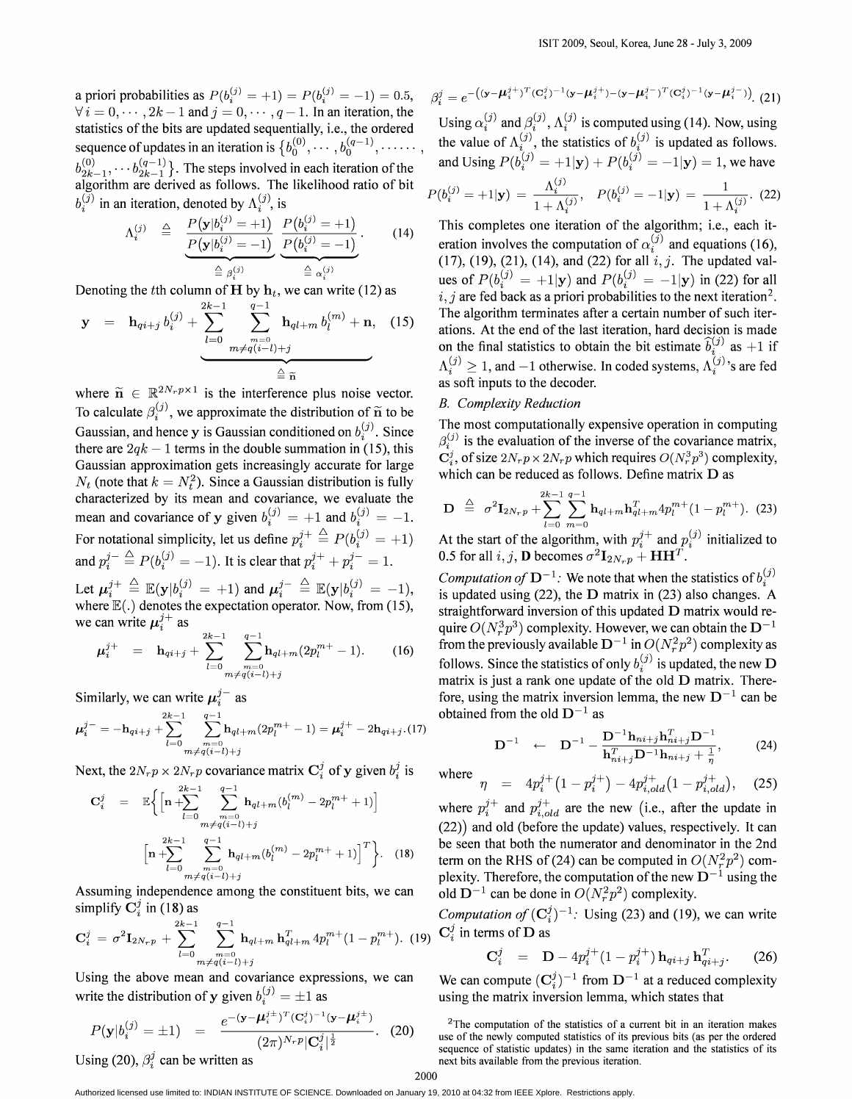a priori probabilities as  $P(b_i^{(j)} = +1) = P(b_i^{(j)} = -1) = 0.5$ ,  $\forall i = 0, \dots, 2k - 1$  and  $j = 0, \dots, q - 1$ . In an iteration, the statistics of the bits are updated sequentially, i.e., the ordered sequence of updates in an iteration is  ${b_0^{(0)}, \cdots, b_0^{(q-1)}, \cdots}$  $b^{(0)}_{2k-1}, \cdots b^{(q-1)}_{2k-1}$ . The steps involved in each iteration of the algorithm are derived as follows. The likelihood ratio of bit  $b_i^{(\overline{j})}$  in an iteration, denoted by  $\Lambda_i^{(j)}$ , is

$$
\Lambda_i^{(j)} \quad \triangleq \quad \frac{P(\mathbf{y}|b_i^{(j)} = +1)}{P(\mathbf{y}|b_i^{(j)} = -1)} \underbrace{\frac{P(b_i^{(j)} = +1)}{P(b_i^{(j)} = -1)}}_{\triangleq \rho_i^{(j)}}.
$$
\n(14)

Denoting the *t*th column of  $H$  by  $h_t$ , we can write (12) as

$$
\mathbf{y} = \mathbf{h}_{qi+j} b_i^{(j)} + \sum_{l=0}^{2k-1} \sum_{\substack{m=0 \ m \neq q(i-l)+j}}^{q-1} \mathbf{h}_{ql+m} b_l^{(m)} + \mathbf{n}, \quad (15)
$$

where  $\tilde{n} \in \mathbb{R}^{2N_r p \times 1}$  is the interference plus noise vector. To calculate  $\beta_i^{(j)}$ , we approximate the distribution of  $\tilde{n}$  to be Gaussian, and hence y is Gaussian conditioned on  $b_i^{(j)}$ . Since there are  $2qk - 1$  terms in the double summation in (15), this Gaussian approximation gets increasingly accurate for large  $N_t$  (note that  $k = N_t^2$ ). Since a Gaussian distribution is fully characterized by its mean and covariance, we evaluate the mean and covariance of y given  $b_i^{(j)} = +1$  and  $b_i^{(j)} = -1$ . For notational simplicity, let us define  $p_i^{j+} \stackrel{\triangle}{=} P(b_i^{(j)} = +1)$ and  $p_i^{j-} \triangleq P(b_i^{(j)} = -1)$ . It is clear that  $p_i^{j+} + p_i^{j-} = 1$ . Let  $\mu_i^{j+} \triangleq \mathbb{E}(\mathbf{y} | b_i^{(j)} = +1)$  and  $\mu_i^{j-} \triangleq \mathbb{E}(\mathbf{y} | b_i^{(j)} = -1)$ , where  $\mathbb{E}(.)$  denotes the expectation operator. Now, from (15),

we can write 
$$
\mu_i^{j+}
$$
 as  
\n
$$
\mu_i^{j+} = \mathbf{h}_{qi+j} + \sum_{l=0}^{2k-1} \sum_{\substack{m=0 \ m \neq q(i-l)+j}}^{q-1} \mathbf{h}_{ql+m}(2p_l^{m+}-1).
$$
\n(16)

Similarly, we can write  $\mu_i^{j-}$  as

$$
\boldsymbol{\mu}_{i}^{j-} = -\mathbf{h}_{qi+j} + \sum_{l=0}^{2k-1} \sum_{\substack{m=0 \ m \neq q(i-l)+j}}^{q-1} \mathbf{h}_{ql+m}(2p_l^{m+} - 1) = \boldsymbol{\mu}_{i}^{j+} - 2\mathbf{h}_{qi+j} \cdot (17)
$$

Next, the  $2N_r p \times 2N_r p$  covariance matrix  $\mathbf{C}_i^j$  of y given  $b_i^j$  is

$$
\mathbf{C}_{i}^{j} = \mathbb{E}\bigg\{\Big[\mathbf{n} + \sum_{l=0}^{2k-1} \sum_{\substack{m=0 \ m \neq q(i-l)+j}}^{q-1} \mathbf{h}_{ql+m}(b_{l}^{(m)} - 2p_{l}^{m+} + 1)\Big] + \Big[\mathbf{n} + \sum_{l=0}^{2k-1} \sum_{\substack{m=0 \ m \neq q(i-l)+j}}^{q-1} \mathbf{h}_{ql+m}(b_{l}^{(m)} - 2p_{l}^{m+} + 1)\Big]^{T}\bigg\}.
$$
 (18)

Assuming independence among the constituent bits, we can simplify  $C_i^j$  in (18) as

$$
\mathbf{C}_{i}^{j} = \sigma^{2} \mathbf{I}_{2N_{r}p} + \sum_{l=0}^{2k-1} \sum_{\substack{m=0 \ m \neq q(i-l)+j}}^{q-1} \mathbf{h}_{ql+m} \, \mathbf{h}_{ql+m}^{T} \, 4p_{l}^{m+}(1-p_{l}^{m+}). \tag{19}
$$

Using the above mean and covariance expressions, we can write the distribution of y given  $b_i^{(j)} = \pm 1$  as

$$
P(\mathbf{y}|b_i^{(j)} = \pm 1) = \frac{e^{-(\mathbf{y}-\boldsymbol{\mu}_i^{j\pm})^T(\mathbf{C}_i^j)^{-1}(\mathbf{y}-\boldsymbol{\mu}_i^{j\pm})}}{(2\pi)^{N_r p}|\mathbf{C}_i^j|^{\frac{1}{2}}}.
$$
 (20)

Using (20),  $\beta_i^j$  can be written as

$$
\beta_i^j = e^{-\left((\mathbf{y} - \boldsymbol{\mu}_i^{j+})^T (\mathbf{C}_i^j)^{-1} (\mathbf{y} - \boldsymbol{\mu}_i^{j+}) - (\mathbf{y} - \boldsymbol{\mu}_i^{j-})^T (\mathbf{C}_i^j)^{-1} (\mathbf{y} - \boldsymbol{\mu}_i^{j-})\right)} (21)
$$

Using  $\alpha_i^{(j)}$  and  $\beta_i^{(j)}$ ,  $\Lambda_i^{(j)}$  is computed using (14). Now, using the value of  $\Lambda_i^{(j)}$ , the statistics of  $b_i^{(j)}$  is updated as follows. and Using  $P(b_i^{(j)} = +1|\mathbf{y}) + P(b_i^{(j)} = -1|\mathbf{y}) = 1$ , we have  $P(b_i^{(j)} = +1|\mathbf{y}) = \frac{\Lambda_i^{(j)}}{1 + \Lambda_i^{(j)}}, \quad P(b_i^{(j)} = -1|\mathbf{y}) = \frac{1}{1 + \Lambda_i^{(j)}}.$  (22)

This completes one iteration of the algorithm; i.e., each iteration involves the computation of  $\alpha_i^{(\overline{j})}$  and equations (16), (17), (19), (21), (14), and (22) for all  $i, j$ . The updated values of  $P(b_i^{(j)} = +1|\mathbf{y})$  and  $P(b_i^{(j)} = -1|\mathbf{y})$  in (22) for all  $i, j$  are fed back as a priori probabilities to the next iteration<sup>2</sup>. The algorithm terminates after a certain number of such iterations. At the end of the last iteration, hard decision is made on the final statistics to obtain the bit estimate  $\hat{b}_i^{(j)}$  as  $+1$  if  $\Lambda_i^{(j)} \geq 1$ , and  $-1$  otherwise. In coded systems,  $\Lambda_i^{(j)}$ 's are fed as soft inputs to the decoder.

# *B. Complexity Reduction*

The most computationally expensive operation in computing  $\beta_i^{(j)}$  is the evaluation of the inverse of the covariance matrix,  $C_{i}^{j}$ , of size  $2N_{r}p \times 2N_{r}p$  which requires  $O(N_{r}^{3}p^{3})$  complexity, which can be reduced as follows. Define matrix D as

$$
\mathbf{D} \stackrel{\triangle}{=} \sigma^2 \mathbf{I}_{2N_r p} + \sum_{l=0}^{2k-1} \sum_{m=0}^{q-1} \mathbf{h}_{ql+m} \mathbf{h}_{ql+m}^T 4p_l^{m+} (1-p_l^{m+}). \tag{23}
$$

At the start of the algorithm, with  $p_i^{j+}$  and  $p_i^{(j)}$  initialized to 0.5 for all  $i, j$ , **D** becomes  $\sigma^2 \mathbf{I}_{2N_r p} + \mathbf{H} \mathbf{H}^T$ .

*Computation of*  $D^{-1}$ : We note that when the statistics of  $b_*^{(j)}$ is updated using (22), the D matrix in (23) also changes. A straightforward inversion of this updated  $D$  matrix would require  $O(N_r^3p^3)$  complexity. However, we can obtain the  $D^{-1}$ from the previously available  $D^{-1}$  in  $O(N_r^2p^2)$  complexity as follows. Since the statistics of only  $b_i^{(j)}$  is updated, the new D matrix is just a rank one update of the old  $D$  matrix. Therefore, using the matrix inversion lemma, the new  $D^{-1}$  can be obtained from the old  $D^{-1}$  as

$$
\mathbf{D}^{-1} \quad \leftarrow \quad \mathbf{D}^{-1} - \frac{\mathbf{D}^{-1} \mathbf{h}_{ni+j} \mathbf{h}_{ni+j}^T \mathbf{D}^{-1}}{\mathbf{h}_{ni+j}^T \mathbf{D}^{-1} \mathbf{h}_{ni+j} + \frac{1}{n}},\tag{24}
$$

where 
$$
\eta = 4p_i^{j+} (1 - p_i^{j+}) - 4p_{i,old}^{j+} (1 - p_{i,old}^{j+}),
$$
 (25) where  $p_i^{j+}$  and  $p_{i,old}^{j+}$  are the new (i.e., after the update in (22)) and old (before the update) values, respectively. It can be seen that both the numerator and denominator in the 2nd

term on the RHS of (24) can be computed in  $O(N_r^2p^2)$  complexity. Therefore, the computation of the new  $D^{-1}$  using the old  $D^{-1}$  can be done in  $O(N_r^2p^2)$  complexity.

*Computation of*  $(C_i^j)^{-1}$ : Using (23) and (19), we can write  $\mathbf{C}_{i}^{j}$  in terms of **D** as

$$
\mathbf{C}_{i}^{j} = \mathbf{D} - 4p_{i}^{j+} (1 - p_{i}^{j+}) \mathbf{h}_{qi+j} \mathbf{h}_{qi+j}^{T}.
$$
 (26)

We can compute  $(\mathbf{C}_{i}^{j})^{-1}$  from  $\mathbf{D}^{-1}$  at a reduced complexity using the matrix inversion lemma, which states that

<sup>2</sup>The computation of the statistics of a current bit in an iteration makes use of the newly computed statistics of its previous bits (as per the ordered sequence of statistic updates) in the same iteration and the statistics of its next bits available from the previous iteration.

Authorized licensed use limited to: INDIAN INSTITUTE OF SCIENCE. Downloaded on January 19, 2010 at 04:32 from IEEE Xplore. Restrictions apply.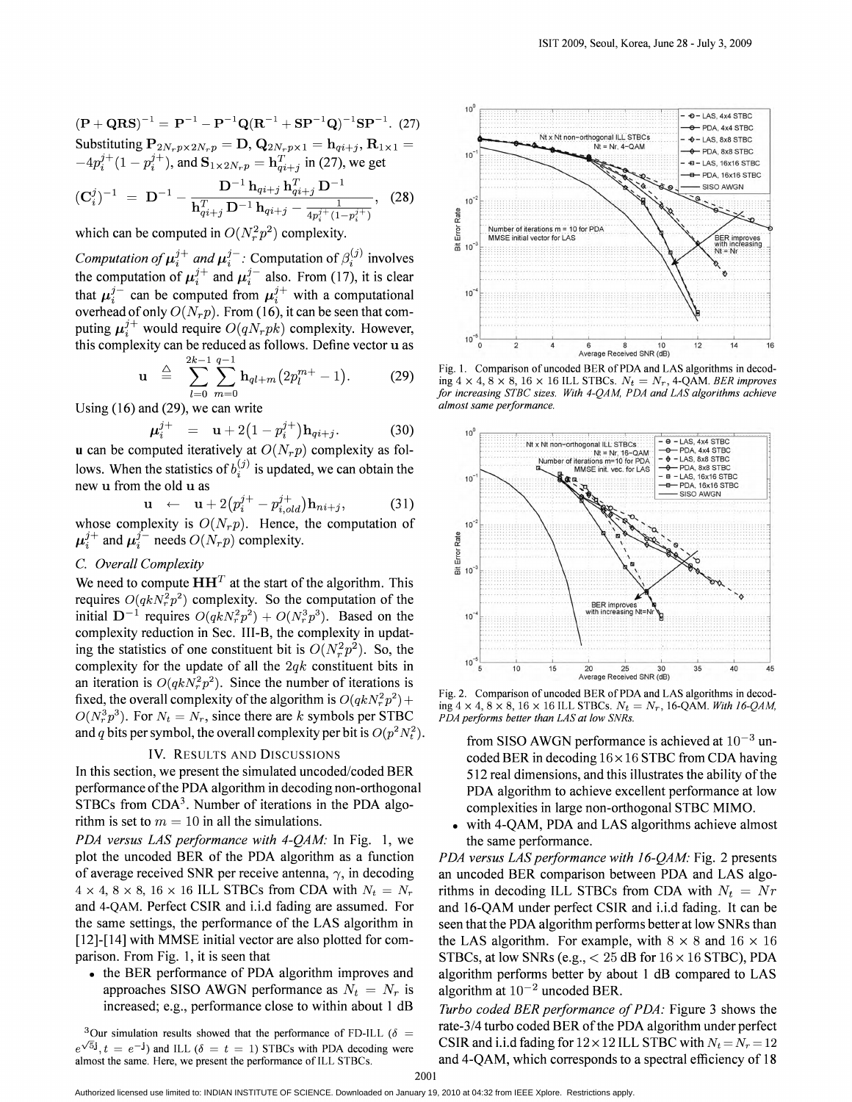$({\bf P} + {\bf Q} {\bf R} {\bf S})^{-1} = {\bf P}^{-1} - {\bf P}^{-1} {\bf Q} ({\bf R}^{-1} + {\bf S} {\bf P}^{-1} {\bf Q})^{-1} {\bf S} {\bf P}^{-1}.$  (27) Substituting  $\mathbf{P}_{2N_r p \times 2N_r p} = \mathbf{D}$ ,  $\mathbf{Q}_{2N_r p \times 1} = \mathbf{h}_{qi+j}$ ,  $\mathbf{R}_{1 \times 1} = -4p_i^{j+}(1-p_i^{j+})$ , and  $\mathbf{S}_{1 \times 2N_r p} = \mathbf{h}_{qi+j}^{T}$  in (27), we get

$$
(\mathbf{C}_{i}^{j})^{-1} = \mathbf{D}^{-1} - \frac{\mathbf{D}^{-1} \mathbf{h}_{qi+j} \mathbf{h}_{qi+j}^{1} \mathbf{D}^{-1}}{\mathbf{h}_{qi+j}^{T} \mathbf{D}^{-1} \mathbf{h}_{qi+j} - \frac{1}{4p_{i}^{j+}(1-p_{i}^{j+})}}, \quad (28)
$$

which can be computed in  $O(N_r^2p^2)$  complexity.

Computation of  $\mu_i^{j+}$  and  $\mu_i^{j-}$ . Computation of  $\beta_i^{(j)}$  involves the computation of  $\mu_i^{j+}$  and  $\mu_i^{j-}$  also. From (17), it is clear<br>that  $\mu_i^{j-}$  can be computed from  $\mu_i^{j+}$  with a computational<br>overhead of only  $O(N_r p)$ . From (16), it can be seen that computing  $\mu_i^{j+}$  would require  $O(qN_rpk)$  complexity. However, this complexity can be reduced as follows. Define vector u as

$$
\mathbf{u} \quad \stackrel{\triangle}{=} \quad \sum_{l=0}^{2k-1} \sum_{m=0}^{q-1} \mathbf{h}_{ql+m} \big( 2p_l^{m+} - 1 \big). \tag{29}
$$

Using  $(16)$  and  $(29)$ , we can write

$$
u_i^{j+} = \mathbf{u} + 2(1 - p_i^{j+})\mathbf{h}_{qi+j}.
$$
 (30)

**u** can be computed iteratively at  $O(N_r p)$  complexity as follows. When the statistics of  $b_i^{(j)}$  is updated, we can obtain the new u from the old u as

$$
\mathbf{u} \leftarrow \mathbf{u} + 2\left(p_i^{j+} - p_{i,old}^{j+}\right)\mathbf{h}_{ni+j}, \tag{31}
$$

whose complexity is  $O(N_r p)$ . Hence, the computation of  $\mu_i^{j+}$  and  $\mu_i^{j-}$  needs  $O(N_r p)$  complexity.

# C. Overall Complexity

We need to compute  $HH<sup>T</sup>$  at the start of the algorithm. This requires  $O(qkN_r^2p^2)$  complexity. So the computation of the initial  $D^{-1}$  requires  $O(qkN_r^2p^2) + O(N_r^3p^3)$ . Based on the complexity reduction in Sec. III-B, the complexity in updating the statistics of one constituent bit is  $O(N_r^2p^2)$ . So, the complexity for the update of all the  $2qk$  constituent bits in an iteration is  $O(qkN_r^2p^2)$ . Since the number of iterations is fixed, the overall complexity of the algorithm is  $O(qkN_r^2p^2)$  +  $O(N_r^3 p^3)$ . For  $N_t = N_r$ , since there are k symbols per STBC and q bits per symbol, the overall complexity per bit is  $O(p^2 N_t^2)$ .

# **IV. RESULTS AND DISCUSSIONS**

In this section, we present the simulated uncoded/coded BER performance of the PDA algorithm in decoding non-orthogonal STBCs from  $CDA<sup>3</sup>$ . Number of iterations in the PDA algorithm is set to  $m = 10$  in all the simulations.

PDA versus LAS performance with 4-QAM: In Fig. 1, we plot the uncoded BER of the PDA algorithm as a function of average received SNR per receive antenna,  $\gamma$ , in decoding  $4 \times 4$ ,  $8 \times 8$ ,  $16 \times 16$  ILL STBCs from CDA with  $N_t = N_r$ and 4-QAM. Perfect CSIR and i.i.d fading are assumed. For the same settings, the performance of the LAS algorithm in [12]-[14] with MMSE initial vector are also plotted for comparison. From Fig. 1, it is seen that

• the BER performance of PDA algorithm improves and approaches SISO AWGN performance as  $N_t = N_r$  is increased; e.g., performance close to within about 1 dB

<sup>3</sup>Our simulation results showed that the performance of FD-ILL ( $\delta$  =  $e^{\sqrt{5}i}$ ,  $t = e^{-i}$  and ILL ( $\delta = t = 1$ ) STBCs with PDA decoding were almost the same. Here, we present the performance of ILL STBCs.



Fig. 1. Comparison of uncoded BER of PDA and LAS algorithms in decoding  $4 \times 4$ ,  $8 \times 8$ ,  $16 \times 16$  ILL STBCs.  $N_t = N_r$ , 4-QAM. BER improves for increasing STBC sizes. With 4-QAM, PDA and LAS algorithms achieve almost same performance.



Fig. 2. Comparison of uncoded BER of PDA and LAS algorithms in decoding  $4 \times 4$ ,  $8 \times 8$ ,  $16 \times 16$  ILL STBCs.  $N_t = N_r$ , 16-QAM. With 16-QAM, PDA performs better than LAS at low SNRs.

from SISO AWGN performance is achieved at  $10^{-3}$  uncoded BER in decoding  $16 \times 16$  STBC from CDA having 512 real dimensions, and this illustrates the ability of the PDA algorithm to achieve excellent performance at low complexities in large non-orthogonal STBC MIMO.

with 4-QAM, PDA and LAS algorithms achieve almost the same performance.

PDA versus LAS performance with 16-QAM: Fig. 2 presents an uncoded BER comparison between PDA and LAS algorithms in decoding ILL STBCs from CDA with  $N_t = Nr$ and 16-QAM under perfect CSIR and i.i.d fading. It can be seen that the PDA algorithm performs better at low SNRs than the LAS algorithm. For example, with  $8 \times 8$  and  $16 \times 16$ STBCs, at low SNRs (e.g.,  $<$  25 dB for 16  $\times$  16 STBC), PDA algorithm performs better by about 1 dB compared to LAS algorithm at  $10^{-2}$  uncoded BER.

Turbo coded BER performance of PDA: Figure 3 shows the rate-3/4 turbo coded BER of the PDA algorithm under perfect CSIR and i.i.d fading for  $12 \times 12$  ILL STBC with  $N_t = N_r = 12$ and 4-QAM, which corresponds to a spectral efficiency of 18